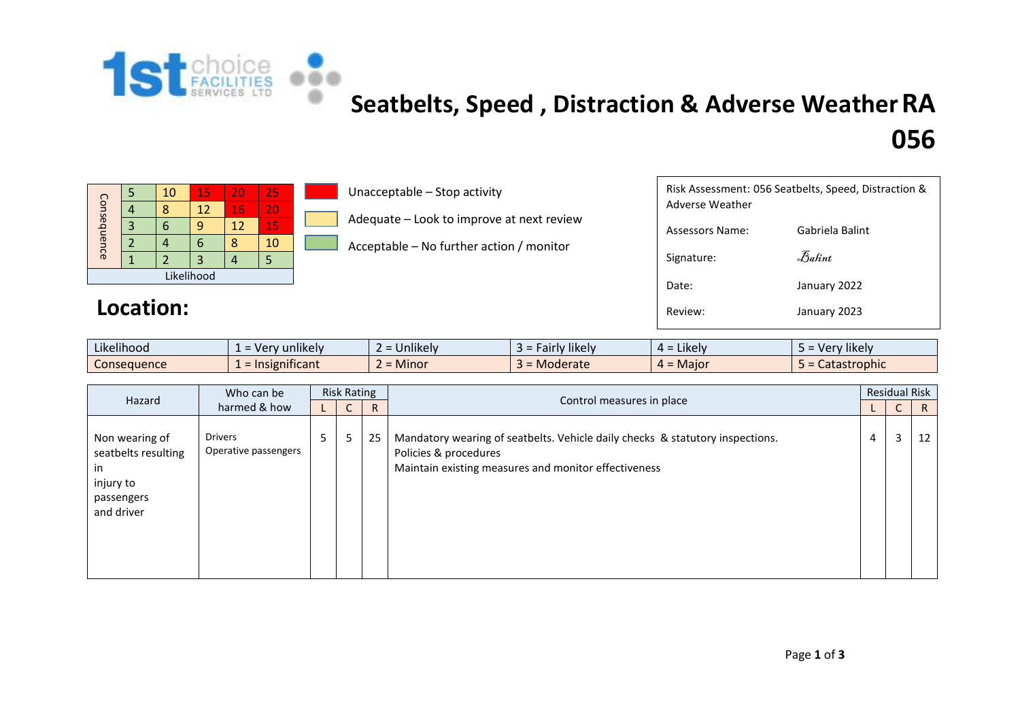

# **[S](http://1stchoicefacilities.co.uk/)eatbelts, Speed , Distraction & Adverse WeatherRA**

## **056**

|             |  | 10 | 15 | 20 | 25 |  |  |  |
|-------------|--|----|----|----|----|--|--|--|
| Consequence |  | ጸ  | 12 | 16 | 20 |  |  |  |
|             |  |    |    | 12 | 15 |  |  |  |
|             |  |    |    |    | 10 |  |  |  |
|             |  |    | 3  |    |    |  |  |  |
| Likelihood  |  |    |    |    |    |  |  |  |

#### Location:

Unacceptable – Stop activity

Adequate – Look to improve at next review

Acceptable – No further action / monitor

| Risk Assessment: 056 Seatbelts, Speed, Distraction &<br>Adverse Weather |                 |  |  |  |  |  |  |
|-------------------------------------------------------------------------|-----------------|--|--|--|--|--|--|
| Assessors Name:                                                         | Gabriela Balint |  |  |  |  |  |  |
| Signature:                                                              | Balint          |  |  |  |  |  |  |
| Date:                                                                   | January 2022    |  |  |  |  |  |  |
| Review:                                                                 | January 2023    |  |  |  |  |  |  |

| $\cdot$ $\cdot$ $\cdot$<br><br>Likelihood | $\cdots$<br>unlikely<br>$\sqrt{2}$<br>erv. | Jnlikely<br>$\overline{\phantom{0}}$ | likely<br>⊤ Fairly .<br><b>r</b> dll<br>$\sim$ | $\cdot$ $\cdot$ $\cdot$<br>Likely<br>$4 =$ | $\cdots$<br><sup>,</sup> likelv<br>$\sim$<br>$\sim$ crv $\sim$ |
|-------------------------------------------|--------------------------------------------|--------------------------------------|------------------------------------------------|--------------------------------------------|----------------------------------------------------------------|
| -<br>Consequence                          | nificant<br>Insignit                       | $=$ Minor                            | = Moderate<br>$-$                              | $4 =$ Maior                                | Catastrophic                                                   |

| Hazard                                                                                | Who can be<br>harmed & how             | <b>Risk Rating</b> |                 |    |                                                                                                                                                                | <b>Residual Risk</b> |   |              |  |
|---------------------------------------------------------------------------------------|----------------------------------------|--------------------|-----------------|----|----------------------------------------------------------------------------------------------------------------------------------------------------------------|----------------------|---|--------------|--|
|                                                                                       |                                        |                    | $\sqrt{2}$<br>◡ | R  | Control measures in place                                                                                                                                      |                      | ◡ | $\mathsf{R}$ |  |
| Non wearing of<br>seatbelts resulting<br>in.<br>injury to<br>passengers<br>and driver | <b>Drivers</b><br>Operative passengers | 5 <sup>1</sup>     | 5               | 25 | Mandatory wearing of seatbelts. Vehicle daily checks & statutory inspections.<br>Policies & procedures<br>Maintain existing measures and monitor effectiveness | 4                    | 3 | 12           |  |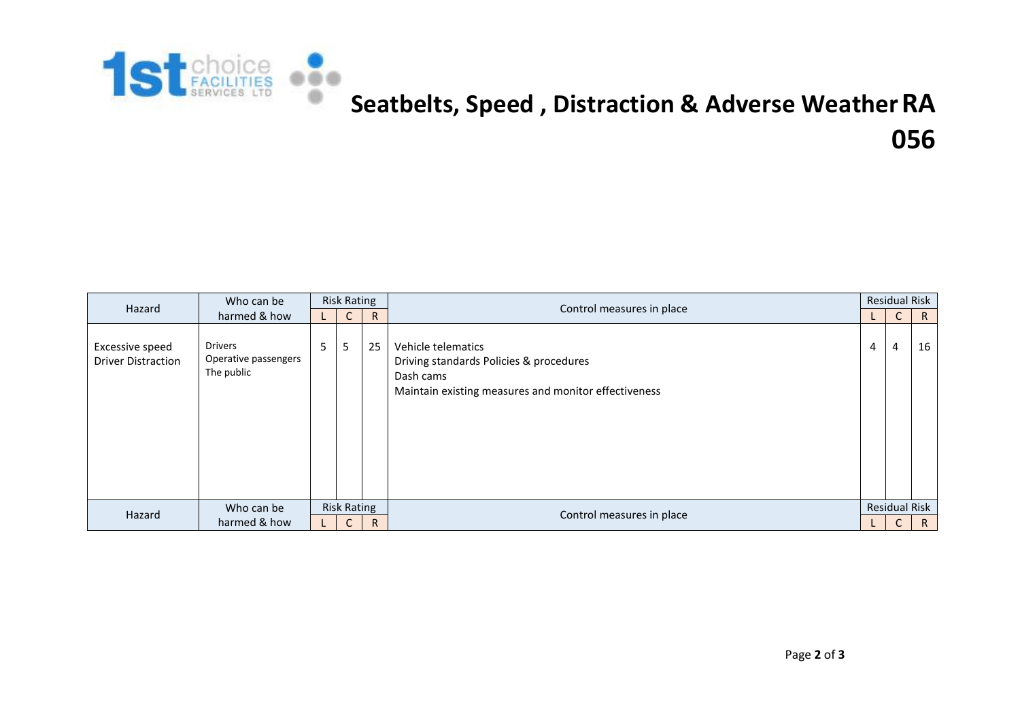

## **[S](http://1stchoicefacilities.co.uk/)eatbelts, Speed , Distraction & Adverse WeatherRA 056**

| Hazard                                       | Who can be                                           | <b>Risk Rating</b> |                    |    | Control measures in place                                                                                                          | <b>Residual Risk</b> |                      |              |  |
|----------------------------------------------|------------------------------------------------------|--------------------|--------------------|----|------------------------------------------------------------------------------------------------------------------------------------|----------------------|----------------------|--------------|--|
|                                              | harmed & how                                         |                    | $\sqrt{ }$<br>U    | R. |                                                                                                                                    |                      | J                    | $\mathsf{R}$ |  |
| Excessive speed<br><b>Driver Distraction</b> | <b>Drivers</b><br>Operative passengers<br>The public | 5                  | 5                  | 25 | Vehicle telematics<br>Driving standards Policies & procedures<br>Dash cams<br>Maintain existing measures and monitor effectiveness | $\overline{4}$       | 4                    | 16           |  |
| Hazard                                       | Who can be                                           |                    | <b>Risk Rating</b> |    | Control measures in place                                                                                                          |                      | <b>Residual Risk</b> |              |  |
|                                              | harmed & how                                         |                    | $\mathsf{C}$       | R. |                                                                                                                                    |                      |                      | $\mathsf{R}$ |  |